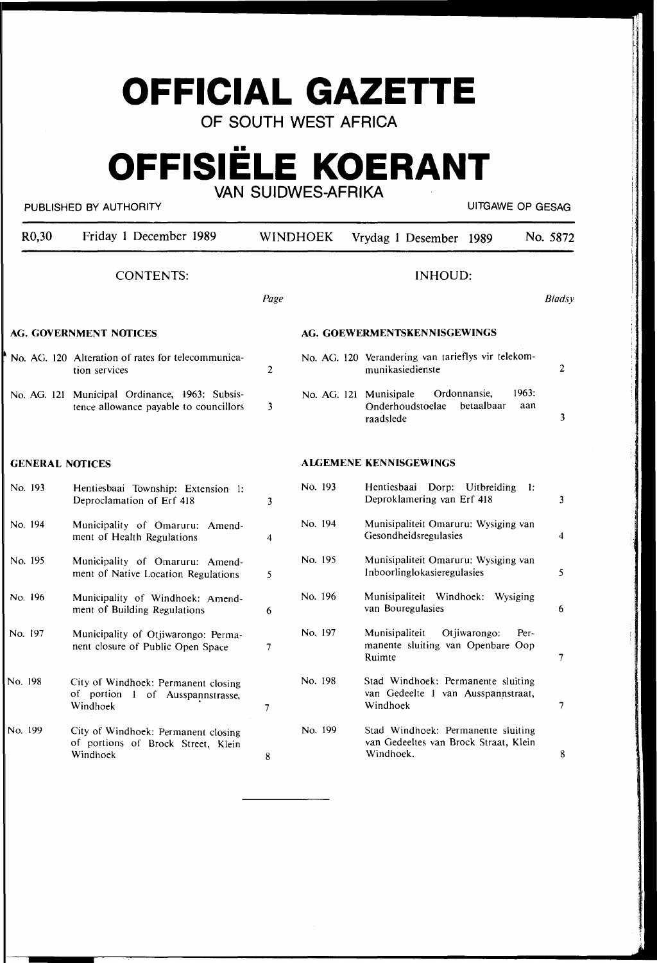# **OFFICIAL GAZETTE**

**OF SOUTH WEST AFRICA** 

# •• **OFFISIELE KOERANT VAN SUIDWES-AFRIKA**

#### PUBLISHED BY AUTHORITY **AUTHORITY EXAGE A** BUSINE AND THE METAL CONTROLLING A BUSINE OP GESAG

| R <sub>0</sub> ,30            | Friday 1 December 1989                                                                   | <b>WINDHOEK</b> |                              |  | Vrydag 1 Desember 1989                                                                                | No. 5872       |  |
|-------------------------------|------------------------------------------------------------------------------------------|-----------------|------------------------------|--|-------------------------------------------------------------------------------------------------------|----------------|--|
| <b>CONTENTS:</b>              |                                                                                          | <b>INHOUD:</b>  |                              |  |                                                                                                       |                |  |
|                               |                                                                                          | Page            |                              |  |                                                                                                       | <b>Bladsy</b>  |  |
| <b>AG. GOVERNMENT NOTICES</b> |                                                                                          |                 | AG. GOEWERMENTSKENNISGEWINGS |  |                                                                                                       |                |  |
|                               | No. AG. 120 Alteration of rates for telecommunica-<br>tion services                      | 2               |                              |  | No. AG. 120 Verandering van tarieflys vir telekom-<br>munikasiedienste                                | $\overline{2}$ |  |
|                               | No. AG. 121 Municipal Ordinance, 1963: Subsis-<br>tence allowance payable to councillors | 3               |                              |  | Ordonnansie.<br>1963:<br>No. AG. 121 Munisipale<br>betaalbaar<br>Onderhoudstoelae<br>aan<br>raadslede | 3              |  |
| <b>GENERAL NOTICES</b>        |                                                                                          |                 |                              |  | ALGEMENE KENNISGEWINGS                                                                                |                |  |
| No. 193                       | Hentiesbaai Township: Extension 1:<br>Deproclamation of Erf 418                          | 3               | No. 193                      |  | Hentiesbaai Dorp: Uitbreiding<br>-1:<br>Deproklamering van Erf 418                                    | 3              |  |
| No. 194                       | Municipality of Omaruru: Amend-<br>ment of Health Regulations                            | 4               | No. 194                      |  | Munisipaliteit Omaruru: Wysiging van<br>Gesondheidsregulasies                                         | 4              |  |
| No. 195                       | Municipality of Omaruru: Amend-<br>ment of Native Location Regulations                   | 5               | No. 195                      |  | Munisipaliteit Omaruru: Wysiging van<br>Inboorlinglokasieregulasies                                   | 5              |  |
| No. 196                       | Municipality of Windhoek: Amend-<br>ment of Building Regulations                         | 6               | No. 196                      |  | Munisipaliteit Windhoek: Wysiging<br>van Bouregulasies                                                | 6              |  |
| No. 197                       | Municipality of Otjiwarongo: Perma-<br>nent closure of Public Open Space                 | $\overline{7}$  | No. 197                      |  | Otjiwarongo:<br>Munisipaliteit<br>Per-<br>manente sluiting van Openbare Oop<br>Ruimte                 | 7              |  |
| No. 198                       | City of Windhoek: Permanent closing<br>of portion 1 of Ausspannstrasse,<br>Windhoek      | 7               | No. 198                      |  | Stad Windhoek: Permanente sluiting<br>van Gedeelte 1 van Ausspannstraat,<br>Windhoek                  | 7              |  |
| No. 199                       | City of Windhoek: Permanent closing<br>of portions of Brock Street, Klein<br>Windhoek    | 8               | No. 199                      |  | Stad Windhoek: Permanente sluiting<br>van Gedeeltes van Brock Straat, Klein<br>Windhoek.              | 8              |  |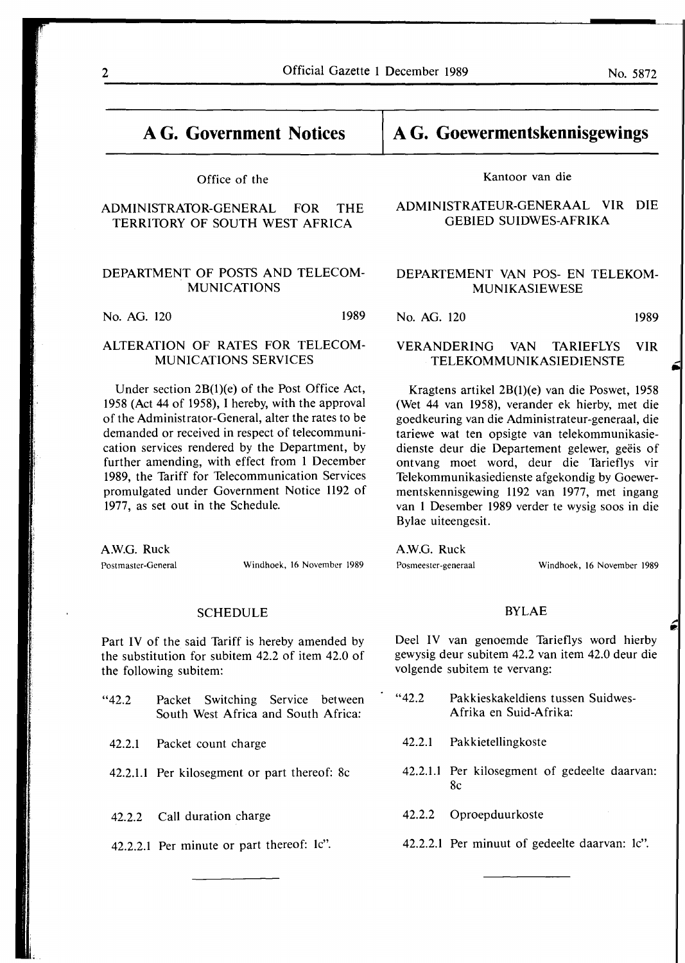# **A G. Government Notices**

#### Office of the

### ADMINISTRATOR-GENERAL FOR THE TERRITORY OF SOUTH WEST AFRICA

#### DEPARTMENT OF POSTS AND TELECOM-MUNICATIONS

No. AG. 120 1989

#### ALTERATION OF RATES FOR TELECOM-MUNICATIONS SERVICES

Under section 2B(l)(e) of the Post Office Act, 1958 (Act 44 of 1958), I hereby, with the approval of the Administrator-General, alter the rates to be demanded or received in respect of telecommunication services rendered by the Department, by further amending, with effect from 1 December 1989, the Tariff for Telecommunication Services promulgated under Government Notice 1192 of 1977, as set out in the Schedule.

AW.G. Ruck Postmaster-General Windhoek, 16 November 1989

#### SCHEDULE

Part IV of the said Tariff is hereby amended by the substitution for subitem 42.2 of item 42.0 of the following subitem:

"42.2 Packet Switching Service between South West Africa and South Africa:

42.2.1 Packet count charge

- 42.2.1.1 Per kilosegment or part thereof: 8c
- 42.2.2 Call duration charge
- 42.2.2.1 Per minute or part thereof: le".

# **A G. Goewermentskennisgewings**

#### Kantoor van die

#### **ADMINISTRATEUR-GENERAAL VIR DIE GEBIED SUIDWES-AFRIKA**

#### DEPARTEMENT VAN POS- EN TELEKOM-MUNIKASIEWESE

No. AG. 120 **1989** 

#### **VERANDERING VAN TARIEFLYS VIR TELEKOMMUNIKASIEDIENSTE**

Kragtens artikel 2B(1)(e) van die Poswet, 1958 (Wet 44 van 1958), verander ek hierby, met die goedkeuring van die Administrateur-generaal, die tariewe wat ten opsigte van telekommunikasiedienste deur die Departement gelewer, geëis of ontvang moet word, deur die Tarieflys vir Telekommunikasiedienste afgekondig by Goewermentskennisgewing 1192 van 1977, met ingang van 1 Desember 1989 verder te wysig soos in die Bylae uiteengesit.

**A.W.G.** Ruck

Posmeester-generaal Windhoek, 16 November 1989

**p,** 

#### BYLAE

Deel IV van genoemde Tarieflys word hierby gewysig deur subitem 42.2 van item 42.0 deur die volgende subitem te vervang:

- "42.2 Pakkieskakeldiens tussen Suidwes-Afrika en Suid-Afrika:
	- 42.2.1 Pakkietellingkoste
- 42.2.1.1 Per kilosegment of gedeelte daarvan: 8c
- 42.2.2 Oproepduurkoste
- 42.2.2.1 Per minuut of gedeelte daarvan: le".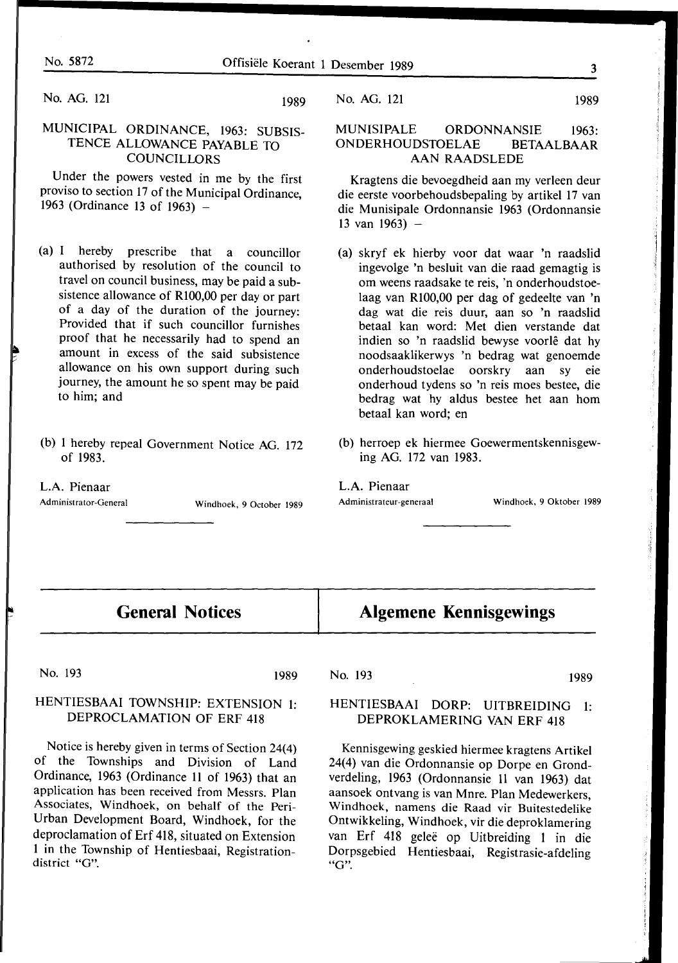No. AG. 121  $\frac{1}{2}$ 

# MUNICIPAL ORDINANCE, 1963: SUBSIS-<br>TENCE ALLOWANCE PAYABLE TO COUNCILLORS

Under the powers vested in me by the first proviso to section 17 of the Municipal Ordinance,  $963$  (Ordinance 13 of 1963)  $\sim$  1963 (Ordinance 13 of 1963)

- (a) I hereby prescribe that a councillor authorised by resolution of the council to travel on council business, may be paid a subsistence allowance of R100,00 per day or part of a day of the duration of the journey: Provided that if such councillor furnishes proof that he necessarily had to spend an amount in excess of the said subsistence allowance on his own support during such  $\frac{1}{2}$  allows the support during such support that  $\frac{1}{2}$  such that  $\frac{1}{2}$  such that  $\frac{1}{2}$  such that  $\frac{1}{2}$  such that  $\frac{1}{2}$  such that  $\frac{1}{2}$  such that  $\frac{1}{2}$  such that  $\frac{1}{2}$  such that  $\frac{1}{2$  $\frac{1}{2}$  him and to him; and
- (b) 1 hereby repeal Government Notice AG. 172

#### L.A. Pienaar

Administrator-General

Administrator-General Windhoek, 9 October 1989

#### No. AG. 121 1989

#### MUNISIPALE ORDONNANSIE 1963: ONDERHOUDSTOELAE BETAALBAAR AAN RAADSLEDE

Kragtens die bevoegdheid aan my verleen deur die eerste voorbehoudsbepaling by artikel 17 van die Munisipale Ordonnansie 1963 (Ordonnansie 13 van 1963)  $-$ 

- (a) skryf ek hierby voor dat waar 'n raadslid ingevolge 'n besluit van die raad gemagtig is om weens raadsake te reis, 'n onderhoudstoelaag van Rl00,00 per dag of gedeelte van 'n dag wat die reis duur, aan so 'n raadslid betaal kan word: Met dien verstande dat indien so 'n raadslid bewyse voorle dat hy noodsaaklikerwys 'n bedrag wat genoemde onderhoudstoelae oorskry aan sy onderhoud tydens so 'n reis moes bestee, die bedrag wat hy aldus bestee het aan horn betaal kan word; en
- (b) herroep ek hiermee Goewermentskennisgewing AG. 172 van 1983.

L.A. Pienaar<br>Administrateur-generaal

Windhoek, 9 Oktober 1989

# **General Notices**

# **Algemene Kennisgewings**

1<sub>103</sub> 1<sub>109</sub>

## HERROCI AMATION OF FREADY  $\overline{D}$  dependent of  $\overline{D}$  and  $\overline{D}$

Notice is hereby given in terms of Section 24(4)<br>of the Townships and Division of Land Ordinance, 1963 (Ordinance 11 of 1963) that an application has been received from Messrs. Plan Associates, Windhoek, on behalf of the Peri-Urban Development Board, Windhoek, for the deproclamation of Erf 418, situated on Extension proclamation of Erf 418, situated on Extension 1 in the Township of Hentiesbaai, Registration-

# No. 193 1989

### HENTIESBAAI DORP: UITBREIDING 1: DEPROKLAMERING VAN ERF 418

Kennisgewing geskied hiermee kragtens Artikel 24(4) van die Ordonnansie op Dorpe en Grondverdeling, 1963 (Ordonnansie 11 van 1963) dat aansoek ontvang is van Mnre. Plan Medewerkers, Windhoek, namens die Raad vir Buitestedelike Ontwikkeling, Windhoek, vir die deproklamering van Erf 418 gelee op Uitbreiding 1 in die Dorpsgebied Hentiesbaai, Registrasie-afdeling **"G".**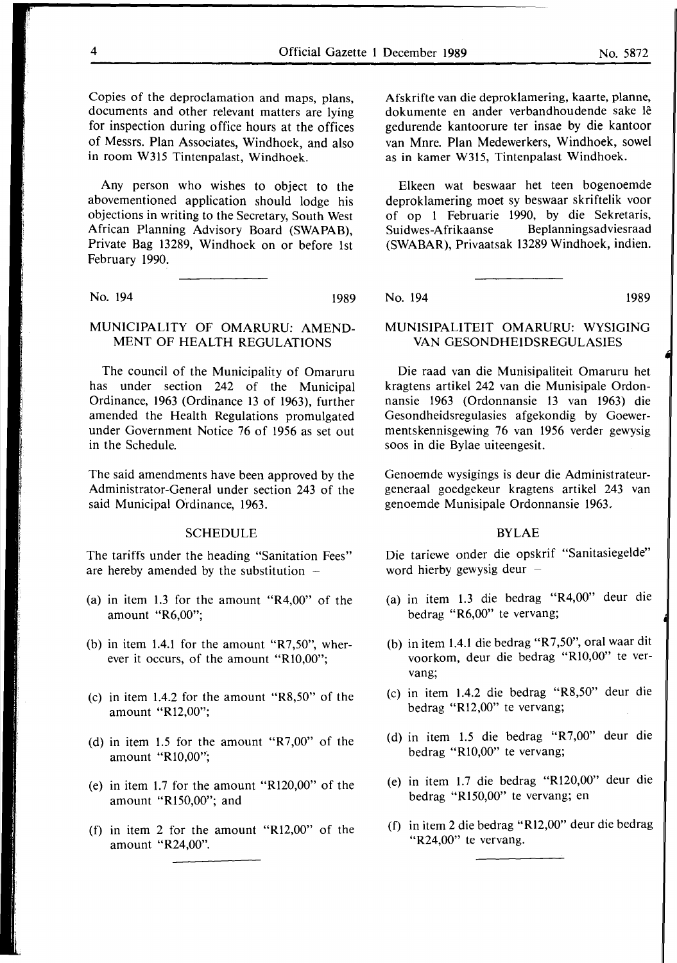Copies of the deproclamation and maps, plans, documents and other relevant matters are lying for inspection during office hours at the offices of Messrs. Plan Associates, Windhoek, and also in room W315 Tintenpalast, Windhoek.

Any person who wishes to object to the abovementioned application should lodge his objections in writing to the Secretary, South West African Planning Advisory Board **(SWAPAB),**  Private Bag 13289, Windhoek on or before 1st February 1990.

No. 194 1989

### MUNICIPALITY OF OMARURU: AMEND-MENT OF HEALTH REGULATIONS

The council of the Municipality of Omaruru has under section 242 of the Municipal Ordinance, 1963 (Ordinance 13 of 1963), further amended the Health Regulations promulgated under Government Notice 76 of 1956 as set out in the Schedule.

The said amendments have been approved by the Administrator-General under section 243 of the said Municipal Ordinance, 1963.

#### **SCHEDULE**

The tariffs under the heading "Sanitation Fees" are hereby amended by the substitution  $-$ 

- (a) in item 1.3 for the amount "R4,00" of the amount "R6,00";
- (b) in item 1.4.1 for the amount " $R7,50$ ", wherever it occurs, of the amount "Rl0,00";
- (c) in item 1.4.2 for the amount "R8,50" of the amount "Rl2,00";
- (d) in item 1.5 for the amount "R7,00" of the amount "R10,00";
- (e) in item 1.7 for the amount "R120,00" of the amount "R150,00"; and
- (f) in item 2 for the amount "R12,00" of the amount "R24,00".

Afskrifte van die deproklamering, kaarte, planne, dokumente en ander verbandhoudende sake le gedurende kantoorure ter insae by die kantoor van Mnre. Plan Medewerkers, Windhoek, sowel as in kamer W315, Tintenpalast Windhoek.

Elkeen wat beswaar het teen bogenoemde deproklamering moet sy beswaar skriftelik voor of op 1 Februarie 1990, by die Sekretaris, Suidwes-Afrikaanse Beplanningsadviesraad (SWABAR), Privaatsak 13289 Windhoek, indien.

No. 194 1989

#### MUNISIPALITEIT OMARURU: WYSIGING VAN GESONDHEIDSREGULASIES

Die raad van die Munisipaliteit Omaruru het kragtens artikel 242 van die Munisipale Ordonnansie 1963 (Ordonnansie 13 van 1963) die Gesondheidsregulasies afgekondig by Goewermentskennisgewing 76 van 1956 verder gewysig soos in die Bylae uiteengesit.

Genoemde wysigings is deur die Administrateurgeneraal goedgekeur kragtens artikel 243 van genoemde Munisipale Ordonnansie 1963.

#### **BYLAE**

Die tariewe onder die opskrif "Sanitasiegelde" word hierby gewysig deur  $-$ 

- (a) in item 1.3 die bedrag "R4,00" deur die bedrag "R6,00" te vervang;
- (b) in item 1.4.l die bedrag "R 7 ,50", oral waar dit voorkom, deur die bedrag "Rl0,00" te vervang;
- (c) in item 1.4.2 die bedrag "R8,50" deur die bedrag "R12,00" te vervang;
- (d) in item 1.5 die bedrag "R7,00" deur die bedrag "Rl0,00" te vervang;
- (e) in item 1.7 die bedrag "R120,00" deur die bedrag "R150,00" te vervang; en
- (f) in item 2 die bedrag "Rl2,00" deur die bedrag "R24,00" te vervang.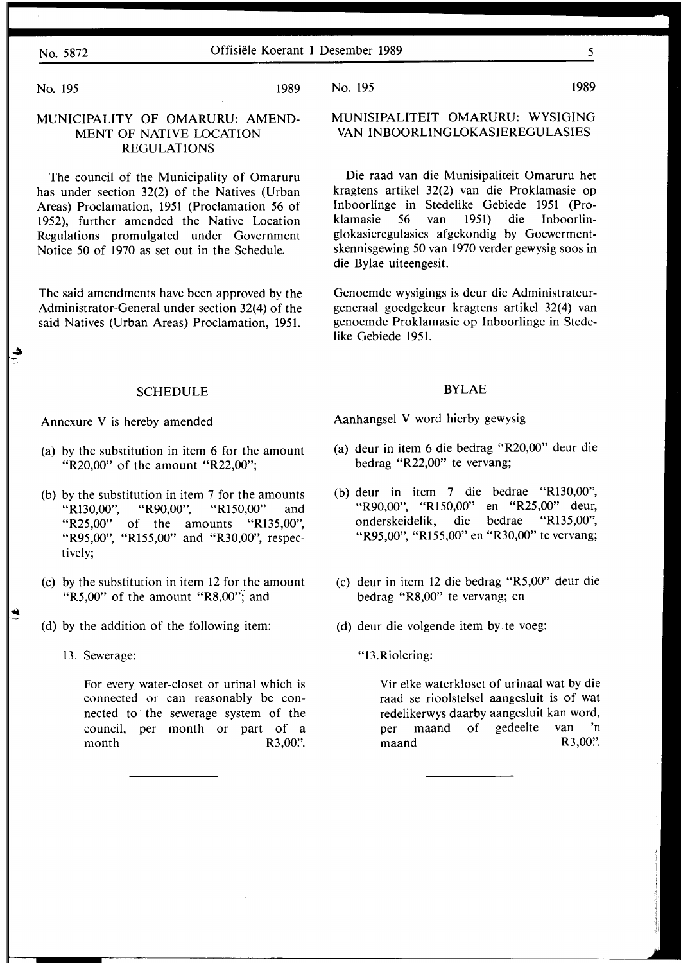### No. 5872 Offisiele Koerant 1 Desember 1989 5

No. 195 1989

...

.\_.

### **MUNICIPALITY** OF **OMARURU: AMEND-MENT OF NATIVE LOCATION REGULATIONS**

The council of the Municipality of Omaruru has under section 32(2) of the Natives (Urban Areas) Proclamation, 1951 (Proclamation 56 of 1952), further amended the Native Location Regulations promulgated under Government Notice 50 of 1970 as set out in the Schedule.

The said amendments have been approved by the Administrator-General under section 32(4) of the said Natives (Urban Areas) Proclamation, 1951.

#### **SCHEDULE**

Annexure V is hereby amended

- (a) by the substitution in item 6 for the amount "R20,00" of the amount "R22,00";
- (b) by the substitution in item 7 for the amounts "Rl30,00", "R90,00", "R150,00" and "R25,00" of the amounts "R135,00", "R95,00", "R155,00" and "R30,00", respectively;
- (c) by the substitution in item 12 for the amount "R5,00" of the amount "R8,00"; and
- (d) by the addition of the following item:
	- 13. Sewerage:

For every water-closet or urinal which is connected or can reasonably be connected to the sewerage system of the council, per month or part of a month R3,00.''

No. 195 1989

**MUNISIPALITEIT OMARURU: WYSIGING VAN INBOORLINGLOKASIEREGULASIES** 

Die raad van die Munisipaliteit Omaruru het kragtens artikel 32(2) van die Proklamasie op Inboorlinge in Stedelike Gebiede 1951 (Proklamasie 56 van 1951) die Inboorlinglokasieregulasies afgekondig by Goewermentskennisgewing 50 van 1970 verder gewysig soos in die Bylae uiteengesit.

Genoemde wysigings is deur die Administrateurgeneraal goedgekeur kragtens artikel 32(4) van genoemde Proklamasie op Inboorlinge in Stedelike Gebiede 1951.

#### **BYLAE**

Aanhangsel V word hierby gewysig  $-$ 

- (a) deur in item 6 die bedrag "R20,00" deur die bedrag "R22,00" te vervang;
- (b) deur in item 7 die bedrae "Rl30,00", "R90,00", "R150,00" en "R25,00" deur, onderskeidelik, die bedrae "R135,00", "R95,00", "R155,00" en "R30,00" te vervang;
- (c) deur in item 12 die bedrag "R5,00" deur die bedrag "R8,00" te vervang; en
- ( d) deur die volgende item by. te voeg:
	- "13.Riolering:

Vir elke waterkloset of urinaal wat by die raad se rioolstelsel aangesluit is of wat redelikerwys daarby aangesluit kan word, per maand of gedeelte van 'n maand R3,00".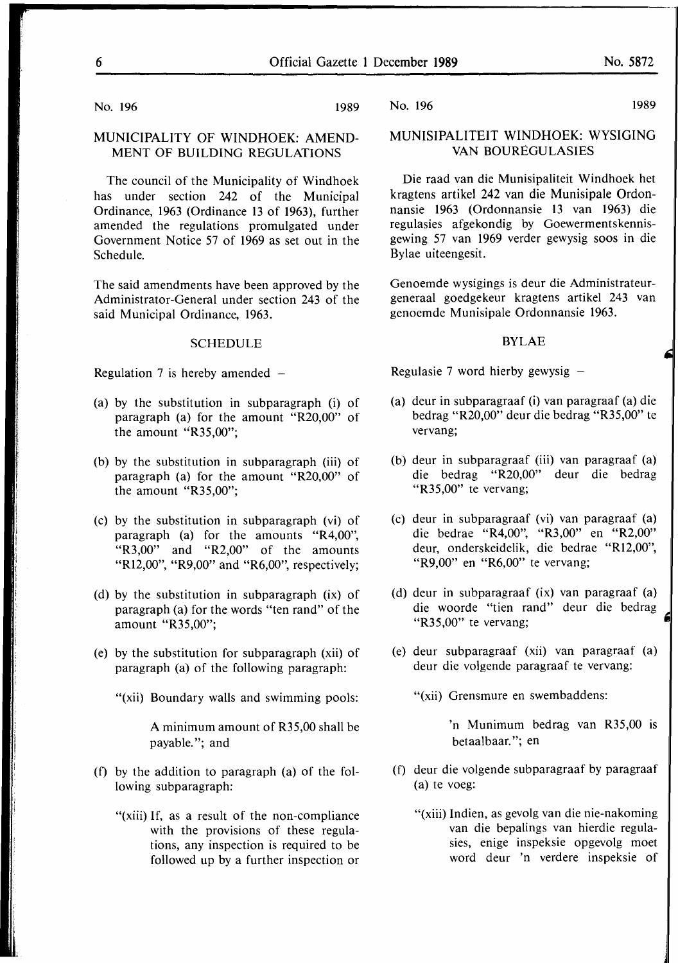No. 196 1989

#### MUNICIPALITY OF WINDHOEK: AMEND-**MENT OF BUILDING REGULATIONS**

The council of the Municipality of Windhoek has under section 242 of the Municipal Ordinance, 1963 (Ordinance 13 of 1963), further amended the regulations promulgated under Government Notice 57 of 1969 as set out in the Schedule.

The said amendments have been approved by the Administrator-General under section 243 of the said Municipal Ordinance, 1963.

#### SCHEDULE

Regulation 7 is hereby amended  $-$ 

- (a) by the substitution in subparagraph (i) of paragraph (a) for the amount "R20,00" of the amount "R35,00";
- (b) by the substitution in subparagraph (iii) of paragraph (a) for the amount "R20,00" of the amount "R35,00";
- (c) by the substitution in subparagraph (vi) of paragraph (a) for the amounts "R4,00", "R3,00" and "R2,00" of the amounts "R12,00", "R9,00" and "R6,00", respectively;
- (d) by the substitution in subparagraph (ix) of paragraph (a) for the words "ten rand" of the amount "R35,00";
- (e) by the substitution for subparagraph (xii) of paragraph (a) of the following paragraph:
	- "(xii) Boundary walls and swimming pools:

A minimum amount of R35,00 shall be payable."; and

- (f) by the addition to paragraph (a) of the following subparagraph:
	- "(xiii) If, as a result of the non-compliance with the provisions of these regulations, any inspection is required to be followed up by a further inspection or

No. 196 1989

### **MUNISIPALITEIT WINDHOEK: WYSIGING**  VAN BOUREGULASIES

Die raad van die Munisipaliteit Windhoek het kragtens artikel 242 van die Munisipale Ordonnansie 1963 (Ordonnansie 13 van 1963) die regulasies afgekondig by Goewermentskennisgewing 57 van 1969 verder gewysig soos in die Bylae uiteengesit.

Genoemde wysigings is deur die Administrateurgeneraal goedgekeur kragtens artikel 243 van genoemde Munisipale Ordonnansie 1963.

#### **BYLAE**

Regulasie 7 word hierby gewysig  $-$ 

- (a) deur in subparagraaf (i) van paragraaf (a) die bedrag "R20,00" deur die bedrag "R35,00" te vervang;
- (b) deur in subparagraaf (iii) van paragraaf (a) die bedrag "R20,00" deur die bedrag "R35,00" te vervang;
- (c) deur in subparagraaf (vi) van paragraaf (a) die bedrae "R4,00", "R3,00" en "R2,00" deur, onderskeidelik, die bedrae "Rl2,00", "R9,00" en "R6,00" te vervang;
- (d) deur in subparagraaf (ix) van paragraaf (a) die woorde "tien rand" deur die bedrag "R35,00" te vervang;
- (e) deur subparagraaf (xii) van paragraaf (a) deur die volgende paragraaf te vervang:

"(xii) Grensmure en swembaddens:

'n Munimum bedrag van R35,00 is betaalbaar. "; en

- (f) deur die volgende subparagraaf by paragraaf (a) te voeg:
	- "(xiii) Indien, as gevolg van die nie-nakoming van die bepalings van hierdie regulasies, enige inspeksie opgevolg moet word deur 'n verdere inspeksie of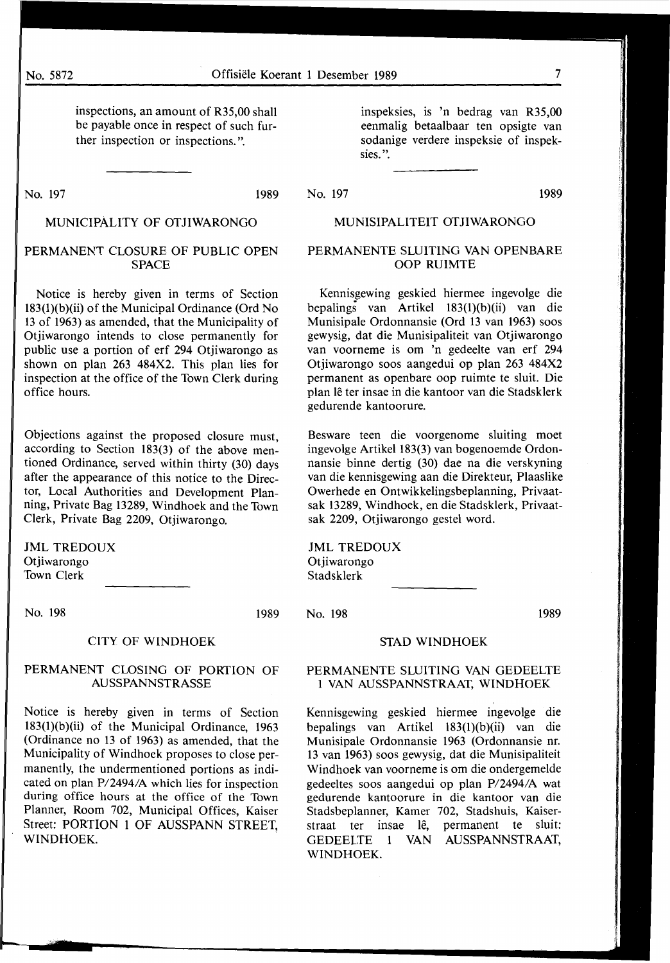inspections, an amount of R35,00 shall be payable once in respect of such further inspection or inspections.".

No. 197 1989

### MUNICIPALITY OF OTJIWARONGO

#### PERMANENT CLOSURE OF PUBLIC OPEN SPACE

Notice is hereby given in terms of Section 183(l)(b)(ii) of the Municipal Ordinance (Ord No 13 of 1963) as amended, that the Municipality of Otjiwarongo intends to close permanently for public use a portion of erf 294 Otjiwarongo as shown on plan 263 484X2. This plan lies for inspection at the office of the Town Clerk during office hours.

Objections against the proposed closure must, according to Section 183(3) of the above mentioned Ordinance, served within thirty (30) days after the appearance of this notice to the Director, Local Authorities and Development Planning, Private Bag 13289, Windhoek and the Town Clerk, Private Bag 2209, Otjiwarongo.

JML TREDOUX Otjiwarongo Town Clerk

No. 198 1989

#### CITY OF WINDHOEK

#### PERMANENT CLOSING OF PORTION OF AUSSPANNSTRASSE

Notice is hereby given in terms of Section 183(l)(b)(ii) of the Municipal Ordinance, 1963 (Ordinance no 13 of 1963) as amended, that the Municipality of Windhoek proposes to close permanently, the undermentioned portions as indicated on plan P/2494/A which lies for inspection during office hours at the office of the Town Planner, Room 702, Municipal Offices, Kaiser Street: PORTION 1 OF AUSSPANN STREET, **WINDHOEK.** 

inspeksies, is 'n bedrag van R35,00 eenmalig betaalbaar ten opsigte van sodanige verdere inspeksie of inspeksies. ".

No. 197 1989

#### MUNISIPALITEIT OTJIWARONGO

#### PERMANENTE SLUITING VAN OPENBARE OOP RUIMTE

Kennisgewing geskied hiermee ingevolge die bepalings van Artikel 183(l)(b)(ii) van die Munisipale Ordonnansie (Ord 13 van 1963) soos gewysig, dat die Munisipaliteit van Otjiwarongo van voorneme is om 'n gedeelte van erf 294 Otjiwarongo soos aangedui op plan 263 484X2 permanent as openbare oop ruimte te sluit. Die plan le ter insae in die kantoor van die Stadsklerk gedurende kantoorure.

Besware teen die voorgenome sluiting moet ingevolge Artikel 183(3) van bogenoemde Ordonnansie binne dertig (30) dae na die verskyning van die kennisgewing aan die Direkteur, Plaaslike Owerhede en Ontwikkelingsbeplanning, Privaatsak 13289, Windhoek, en die Stadsklerk, Privaatsak 2209, Otjiwarongo gestel word.

JML TREDOUX Otjiwarongo Stadsklerk

No. 198 1989

**STAD WINDHOEK** 

#### **PERMANENTE** SLUITING VAN GEDEELTE **1 VAN AUSSPANNSTRAAT, WINDHOEK**

Kennisgewing geskied hiermee ingevolge die bepalings van Artikel 183(1)(b)(ii) van die Munisipale Ordonnansie 1963 (Ordonnansie nr. 13 van 1963) soos gewysig, dat die Munisipaliteit Windhoek van voorneme is om die ondergemelde gedeeltes soos aangedui op plan P/2494/A wat gedurende kantoorure in die kantoor van die Stadsbeplanner, Kamer 702, Stadshuis, Kaiserstraat ter insae lê, permanent te sluit: GEDEELTE 1 VAN AUSSPANNSTRAAT, WINDHOEK.